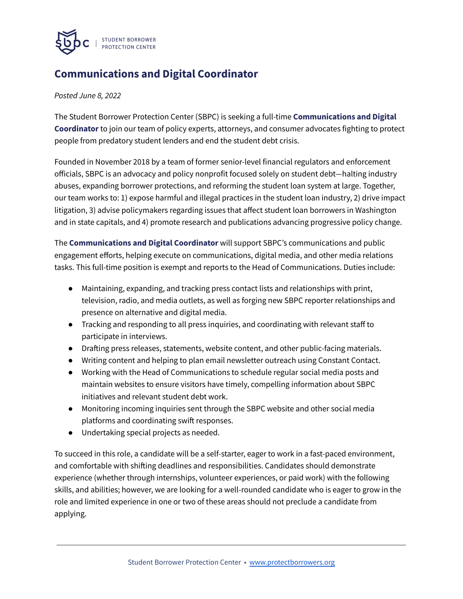

## **Communications and Digital Coordinator**

## *Posted June 8, 2022*

The Student Borrower Protection Center (SBPC) is seeking a full-time **Communications and Digital Coordinator** to join our team of policy experts, attorneys, and consumer advocates fighting to protect people from predatory student lenders and end the student debt crisis.

Founded in November 2018 by a team of former senior-level financial regulators and enforcement officials, SBPC is an advocacy and policy nonprofit focused solely on student debt—halting industry abuses, expanding borrower protections, and reforming the student loan system at large. Together, our team works to: 1) expose harmful and illegal practices in the student loan industry, 2) drive impact litigation, 3) advise policymakers regarding issues that affect student loan borrowers in Washington and in state capitals, and 4) promote research and publications advancing progressive policy change.

The **Communications and Digital Coordinator** will support SBPC's communications and public engagement efforts, helping execute on communications, digital media, and other media relations tasks. This full-time position is exempt and reports to the Head of Communications. Duties include:

- Maintaining, expanding, and tracking press contact lists and relationships with print, television, radio, and media outlets, as well as forging new SBPC reporter relationships and presence on alternative and digital media.
- Tracking and responding to all press inquiries, and coordinating with relevant staff to participate in interviews.
- Drafting press releases, statements, website content, and other public-facing materials.
- Writing content and helping to plan email newsletter outreach using Constant Contact.
- Working with the Head of Communications to schedule regular social media posts and maintain websites to ensure visitors have timely, compelling information about SBPC initiatives and relevant student debt work.
- Monitoring incoming inquiries sent through the SBPC website and other social media platforms and coordinating swift responses.
- Undertaking special projects as needed.

To succeed in this role, a candidate will be a self-starter, eager to work in a fast-paced environment, and comfortable with shifting deadlines and responsibilities. Candidates should demonstrate experience (whether through internships, volunteer experiences, or paid work) with the following skills, and abilities; however, we are looking for a well-rounded candidate who is eager to grow in the role and limited experience in one or two of these areas should not preclude a candidate from applying.